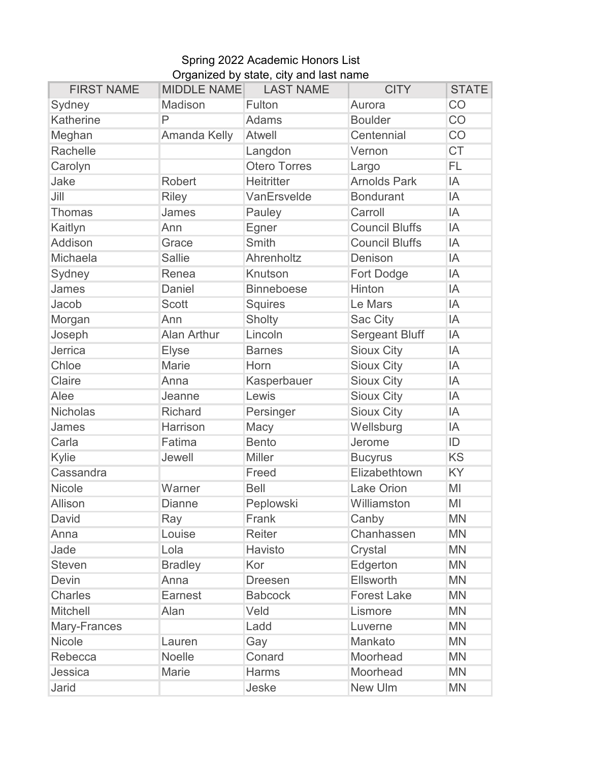## Spring 2022 Academic Honors List Organized by state, city and last name

| <b>FIRST NAME</b> | <b>MIDDLE NAME</b> | <b>LAST NAME</b>    | <b>CITY</b>           | <b>STATE</b> |
|-------------------|--------------------|---------------------|-----------------------|--------------|
| Sydney            | Madison            | Fulton              | Aurora                | CO           |
| Katherine         | $\mathsf{P}$       | <b>Adams</b>        | <b>Boulder</b>        | CO           |
| Meghan            | Amanda Kelly       | <b>Atwell</b>       | Centennial            | CO           |
| Rachelle          |                    | Langdon             | Vernon                | <b>CT</b>    |
| Carolyn           |                    | <b>Otero Torres</b> | Largo                 | FL           |
| Jake              | <b>Robert</b>      | <b>Heitritter</b>   | <b>Arnolds Park</b>   | IA           |
| Jill              | <b>Riley</b>       | VanErsvelde         | <b>Bondurant</b>      | IA           |
| <b>Thomas</b>     | James              | Pauley              | Carroll               | IA           |
| Kaitlyn           | Ann                | Egner               | <b>Council Bluffs</b> | IA           |
| Addison           | Grace              | Smith               | <b>Council Bluffs</b> | IA           |
| Michaela          | <b>Sallie</b>      | Ahrenholtz          | Denison               | IA           |
| Sydney            | Renea              | Knutson             | Fort Dodge            | IA           |
| James             | Daniel             | <b>Binneboese</b>   | Hinton                | IA           |
| Jacob             | <b>Scott</b>       | <b>Squires</b>      | Le Mars               | IA           |
| Morgan            | Ann                | Sholty              | Sac City              | IA           |
| Joseph            | Alan Arthur        | Lincoln             | Sergeant Bluff        | IA           |
| Jerrica           | <b>Elyse</b>       | <b>Barnes</b>       | <b>Sioux City</b>     | IA           |
| Chloe             | Marie              | Horn                | <b>Sioux City</b>     | IA           |
| Claire            | Anna               | Kasperbauer         | <b>Sioux City</b>     | IA           |
| Alee              | Jeanne             | Lewis               | <b>Sioux City</b>     | IA           |
| <b>Nicholas</b>   | <b>Richard</b>     | Persinger           | <b>Sioux City</b>     | IA           |
| James             | Harrison           | Macy                | Wellsburg             | IA           |
| Carla             | Fatima             | <b>Bento</b>        | Jerome                | ID           |
| Kylie             | Jewell             | <b>Miller</b>       | <b>Bucyrus</b>        | <b>KS</b>    |
| Cassandra         |                    | Freed               | Elizabethtown         | KY           |
| <b>Nicole</b>     | Warner             | <b>Bell</b>         | <b>Lake Orion</b>     | MI           |
| Allison           | <b>Dianne</b>      | Peplowski           | Williamston           | MI           |
| David             | Ray                | Frank               | Canby                 | <b>MN</b>    |
| Anna              | Louise             | Reiter              | Chanhassen            | <b>MN</b>    |
| Jade              | Lola               | Havisto             | Crystal               | <b>MN</b>    |
| <b>Steven</b>     | <b>Bradley</b>     | Kor                 | Edgerton              | <b>MN</b>    |
| <b>Devin</b>      | Anna               | <b>Dreesen</b>      | Ellsworth             | <b>MN</b>    |
| <b>Charles</b>    | Earnest            | <b>Babcock</b>      | <b>Forest Lake</b>    | <b>MN</b>    |
| <b>Mitchell</b>   | Alan               | Veld                | Lismore               | <b>MN</b>    |
| Mary-Frances      |                    | Ladd                | Luverne               | <b>MN</b>    |
| <b>Nicole</b>     | Lauren             | Gay                 | Mankato               | <b>MN</b>    |
| Rebecca           | Noelle             | Conard              | Moorhead              | <b>MN</b>    |
| Jessica           | Marie              | Harms               | Moorhead              | <b>MN</b>    |
| Jarid             |                    | Jeske               | New Ulm               | <b>MN</b>    |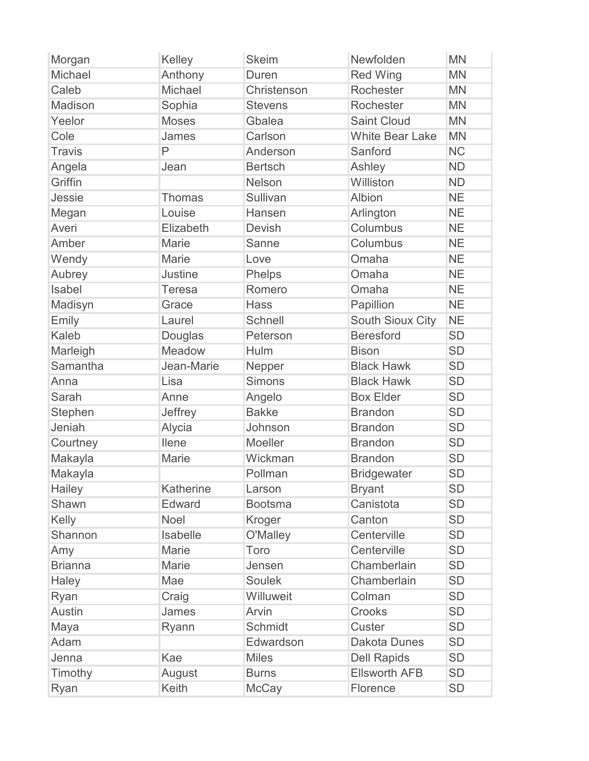| Morgan         | Kelley         | <b>Skeim</b>   | Newfolden               | <b>MN</b> |
|----------------|----------------|----------------|-------------------------|-----------|
| Michael        | Anthony        | Duren          | <b>Red Wing</b>         | <b>MN</b> |
| Caleb          | Michael        | Christenson    | Rochester               | <b>MN</b> |
| Madison        | Sophia         | <b>Stevens</b> | Rochester               | <b>MN</b> |
| Yeelor         | <b>Moses</b>   | Gbalea         | <b>Saint Cloud</b>      | <b>MN</b> |
| Cole           | James          | Carlson        | <b>White Bear Lake</b>  | <b>MN</b> |
| <b>Travis</b>  | P              | Anderson       | Sanford                 | <b>NC</b> |
| Angela         | Jean           | <b>Bertsch</b> | Ashley                  | <b>ND</b> |
| Griffin        |                | Nelson         | Williston               | <b>ND</b> |
| Jessie         | <b>Thomas</b>  | Sullivan       | Albion                  | <b>NE</b> |
| Megan          | Louise         | Hansen         | Arlington               | <b>NE</b> |
| Averi          | Elizabeth      | <b>Devish</b>  | Columbus                | <b>NE</b> |
| Amber          | <b>Marie</b>   | Sanne          | Columbus                | <b>NE</b> |
| Wendy          | Marie          | Love           | Omaha                   | <b>NE</b> |
| Aubrey         | <b>Justine</b> | Phelps         | Omaha                   | <b>NE</b> |
| Isabel         | <b>Teresa</b>  | Romero         | Omaha                   | <b>NE</b> |
| Madisyn        | Grace          | <b>Hass</b>    | Papillion               | <b>NE</b> |
| Emily          | Laurel         | <b>Schnell</b> | <b>South Sioux City</b> | <b>NE</b> |
| Kaleb          | Douglas        | Peterson       | <b>Beresford</b>        | <b>SD</b> |
| Marleigh       | Meadow         | Hulm           | <b>Bison</b>            | <b>SD</b> |
| Samantha       | Jean-Marie     | Nepper         | <b>Black Hawk</b>       | <b>SD</b> |
| Anna           | Lisa           | <b>Simons</b>  | <b>Black Hawk</b>       | <b>SD</b> |
| Sarah          | Anne           | Angelo         | <b>Box Elder</b>        | <b>SD</b> |
| Stephen        | Jeffrey        | <b>Bakke</b>   | <b>Brandon</b>          | <b>SD</b> |
| Jeniah         | Alycia         | Johnson        | <b>Brandon</b>          | <b>SD</b> |
| Courtney       | <b>Ilene</b>   | Moeller        | <b>Brandon</b>          | <b>SD</b> |
| Makayla        | Marie          | Wickman        | <b>Brandon</b>          | <b>SD</b> |
| Makayla        |                | Pollman        | <b>Bridgewater</b>      | <b>SD</b> |
| Hailey         | Katherine      | Larson         | <b>Bryant</b>           | <b>SD</b> |
| Shawn          | Edward         | <b>Bootsma</b> | Canistota               | <b>SD</b> |
| Kelly          | Noel           | Kroger         | Canton                  | <b>SD</b> |
| Shannon        | Isabelle       | O'Malley       | Centerville             | <b>SD</b> |
| Amy            | <b>Marie</b>   | Toro           | Centerville             | <b>SD</b> |
| <b>Brianna</b> | <b>Marie</b>   | Jensen         | Chamberlain             | <b>SD</b> |
| Haley          | Mae            | <b>Soulek</b>  | Chamberlain             | <b>SD</b> |
| Ryan           | Craig          | Willuweit      | Colman                  | <b>SD</b> |
| <b>Austin</b>  | James          | Arvin          | Crooks                  | <b>SD</b> |
| Maya           | Ryann          | Schmidt        | <b>Custer</b>           | <b>SD</b> |
| Adam           |                | Edwardson      | <b>Dakota Dunes</b>     | <b>SD</b> |
| Jenna          | Kae            | <b>Miles</b>   | <b>Dell Rapids</b>      | <b>SD</b> |
| Timothy        | August         | <b>Burns</b>   | <b>Ellsworth AFB</b>    | <b>SD</b> |
| Ryan           | Keith          | <b>McCay</b>   | Florence                | <b>SD</b> |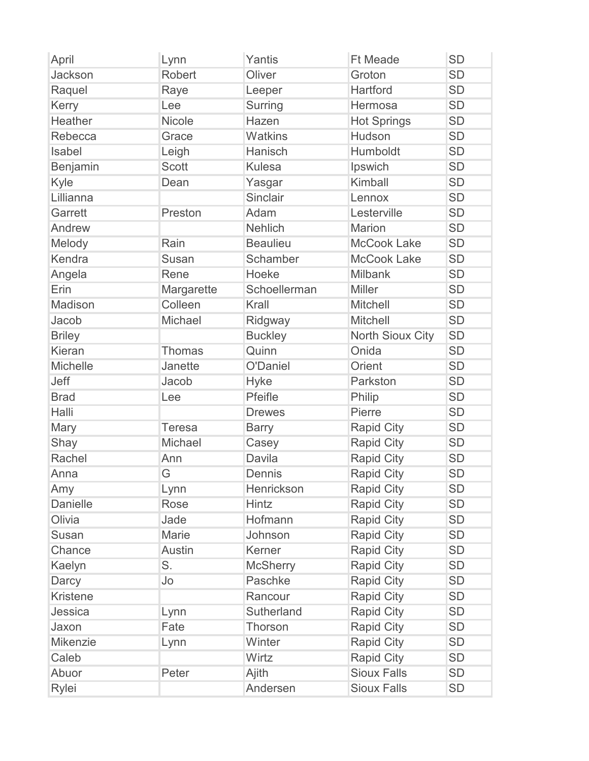| April           | Lynn          | Yantis            | <b>Ft Meade</b>    | <b>SD</b> |
|-----------------|---------------|-------------------|--------------------|-----------|
| Jackson         | <b>Robert</b> | Oliver            | Groton             | <b>SD</b> |
| Raquel          | Raye          | Leeper            | <b>Hartford</b>    | <b>SD</b> |
| Kerry           | Lee           | <b>Surring</b>    | Hermosa            | <b>SD</b> |
| <b>Heather</b>  | Nicole        | Hazen             | <b>Hot Springs</b> | <b>SD</b> |
| Rebecca         | Grace         | <b>Watkins</b>    | Hudson             | <b>SD</b> |
| Isabel          | Leigh         | Hanisch           | Humboldt           | <b>SD</b> |
| Benjamin        | Scott         | <b>Kulesa</b>     | Ipswich            | <b>SD</b> |
| Kyle            | Dean          | Yasgar            | Kimball            | <b>SD</b> |
| Lillianna       |               | <b>Sinclair</b>   | Lennox             | <b>SD</b> |
| Garrett         | Preston       | Adam              | Lesterville        | <b>SD</b> |
| Andrew          |               | <b>Nehlich</b>    | <b>Marion</b>      | <b>SD</b> |
| Melody          | Rain          | <b>Beaulieu</b>   | <b>McCook Lake</b> | <b>SD</b> |
| Kendra          | <b>Susan</b>  | <b>Schamber</b>   | <b>McCook Lake</b> | <b>SD</b> |
| Angela          | Rene          | Hoeke             | <b>Milbank</b>     | <b>SD</b> |
| Erin            | Margarette    | Schoellerman      | <b>Miller</b>      | <b>SD</b> |
| Madison         | Colleen       | Krall             | <b>Mitchell</b>    | <b>SD</b> |
| Jacob           | Michael       | Ridgway           | <b>Mitchell</b>    | <b>SD</b> |
| <b>Briley</b>   |               | <b>Buckley</b>    | North Sioux City   | <b>SD</b> |
| Kieran          | <b>Thomas</b> | Quinn             | Onida              | <b>SD</b> |
| <b>Michelle</b> | Janette       | O'Daniel          | Orient             | <b>SD</b> |
| Jeff            | Jacob         | <b>Hyke</b>       | Parkston           | <b>SD</b> |
| <b>Brad</b>     | Lee           | Pfeifle           | Philip             | <b>SD</b> |
| Halli           |               | <b>Drewes</b>     | Pierre             | <b>SD</b> |
| Mary            | <b>Teresa</b> | <b>Barry</b>      | <b>Rapid City</b>  | <b>SD</b> |
| Shay            | Michael       | Casey             | <b>Rapid City</b>  | <b>SD</b> |
| Rachel          | Ann           | <b>Davila</b>     | <b>Rapid City</b>  | <b>SD</b> |
| Anna            | G             | Dennis            | <b>Rapid City</b>  | <b>SD</b> |
| Amy             | Lynn          | <b>Henrickson</b> | <b>Rapid City</b>  | <b>SD</b> |
| <b>Danielle</b> | Rose          | <b>Hintz</b>      | <b>Rapid City</b>  | <b>SD</b> |
| Olivia          | Jade          | Hofmann           | Rapid City         | <b>SD</b> |
| Susan           | Marie         | Johnson           | <b>Rapid City</b>  | <b>SD</b> |
| Chance          | <b>Austin</b> | Kerner            | <b>Rapid City</b>  | <b>SD</b> |
| Kaelyn          | S.            | <b>McSherry</b>   | <b>Rapid City</b>  | <b>SD</b> |
| Darcy           | Jo            | Paschke           | <b>Rapid City</b>  | <b>SD</b> |
| <b>Kristene</b> |               | Rancour           | <b>Rapid City</b>  | <b>SD</b> |
| Jessica         | Lynn          | <b>Sutherland</b> | <b>Rapid City</b>  | <b>SD</b> |
| Jaxon           | Fate          | Thorson           | <b>Rapid City</b>  | <b>SD</b> |
| Mikenzie        | Lynn          | Winter            | <b>Rapid City</b>  | <b>SD</b> |
| Caleb           |               | Wirtz             | <b>Rapid City</b>  | <b>SD</b> |
| Abuor           | Peter         | Ajith             | <b>Sioux Falls</b> | <b>SD</b> |
| Rylei           |               | Andersen          | <b>Sioux Falls</b> | <b>SD</b> |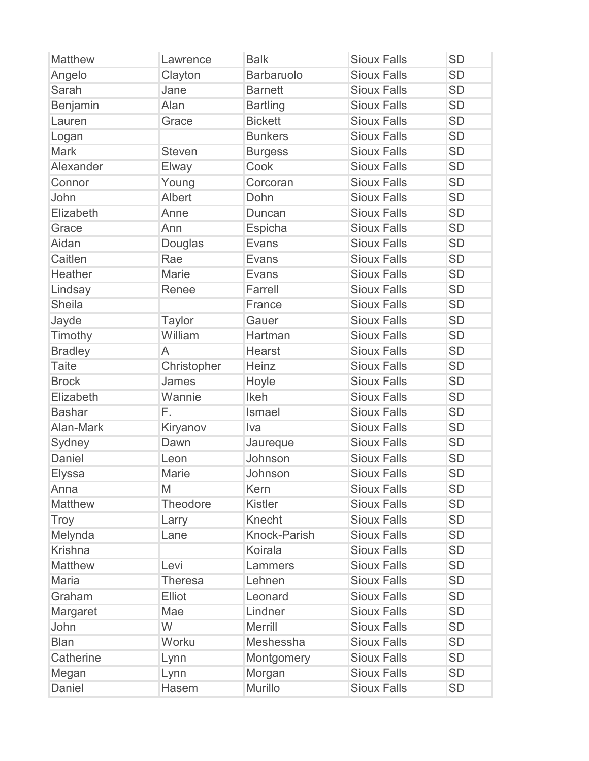| <b>Matthew</b> | Lawrence        | <b>Balk</b>     | <b>Sioux Falls</b> | <b>SD</b> |
|----------------|-----------------|-----------------|--------------------|-----------|
| Angelo         | Clayton         | Barbaruolo      | <b>Sioux Falls</b> | <b>SD</b> |
| Sarah          | Jane            | <b>Barnett</b>  | <b>Sioux Falls</b> | <b>SD</b> |
| Benjamin       | Alan            | <b>Bartling</b> | <b>Sioux Falls</b> | <b>SD</b> |
| Lauren         | Grace           | <b>Bickett</b>  | <b>Sioux Falls</b> | <b>SD</b> |
| Logan          |                 | <b>Bunkers</b>  | <b>Sioux Falls</b> | <b>SD</b> |
| <b>Mark</b>    | <b>Steven</b>   | <b>Burgess</b>  | <b>Sioux Falls</b> | <b>SD</b> |
| Alexander      | Elway           | Cook            | <b>Sioux Falls</b> | <b>SD</b> |
| Connor         | Young           | Corcoran        | <b>Sioux Falls</b> | <b>SD</b> |
| John           | Albert          | Dohn            | <b>Sioux Falls</b> | <b>SD</b> |
| Elizabeth      | Anne            | Duncan          | <b>Sioux Falls</b> | <b>SD</b> |
| Grace          | Ann             | Espicha         | <b>Sioux Falls</b> | <b>SD</b> |
| Aidan          | Douglas         | Evans           | <b>Sioux Falls</b> | <b>SD</b> |
| Caitlen        | Rae             | Evans           | <b>Sioux Falls</b> | <b>SD</b> |
| Heather        | <b>Marie</b>    | Evans           | <b>Sioux Falls</b> | <b>SD</b> |
| Lindsay        | Renee           | Farrell         | <b>Sioux Falls</b> | <b>SD</b> |
| <b>Sheila</b>  |                 | France          | <b>Sioux Falls</b> | <b>SD</b> |
| Jayde          | <b>Taylor</b>   | Gauer           | <b>Sioux Falls</b> | <b>SD</b> |
| Timothy        | William         | Hartman         | <b>Sioux Falls</b> | <b>SD</b> |
| <b>Bradley</b> | A               | <b>Hearst</b>   | <b>Sioux Falls</b> | <b>SD</b> |
| <b>Taite</b>   | Christopher     | Heinz           | <b>Sioux Falls</b> | <b>SD</b> |
| <b>Brock</b>   | James           | Hoyle           | <b>Sioux Falls</b> | <b>SD</b> |
| Elizabeth      | Wannie          | Ikeh            | <b>Sioux Falls</b> | <b>SD</b> |
| <b>Bashar</b>  | F.              | Ismael          | <b>Sioux Falls</b> | <b>SD</b> |
| Alan-Mark      | Kiryanov        | Iva             | <b>Sioux Falls</b> | <b>SD</b> |
| Sydney         | Dawn            | Jaureque        | <b>Sioux Falls</b> | <b>SD</b> |
| Daniel         | Leon            | Johnson         | <b>Sioux Falls</b> | <b>SD</b> |
| <b>Elyssa</b>  | Marie           | Johnson         | <b>Sioux Falls</b> | <b>SD</b> |
| Anna           | M               | Kern            | <b>Sioux Falls</b> | <b>SD</b> |
| <b>Matthew</b> | <b>Theodore</b> | <b>Kistler</b>  | <b>Sioux Falls</b> | <b>SD</b> |
| Troy           | Larry           | Knecht          | <b>Sioux Falls</b> | <b>SD</b> |
| Melynda        | Lane            | Knock-Parish    | <b>Sioux Falls</b> | <b>SD</b> |
| <b>Krishna</b> |                 | Koirala         | <b>Sioux Falls</b> | <b>SD</b> |
| <b>Matthew</b> | Levi            | Lammers         | <b>Sioux Falls</b> | <b>SD</b> |
| <b>Maria</b>   | <b>Theresa</b>  | Lehnen          | <b>Sioux Falls</b> | <b>SD</b> |
| Graham         | Elliot          | Leonard         | <b>Sioux Falls</b> | <b>SD</b> |
| Margaret       | Mae             | Lindner         | <b>Sioux Falls</b> | <b>SD</b> |
| John           | W               | <b>Merrill</b>  | <b>Sioux Falls</b> | <b>SD</b> |
| <b>Blan</b>    | Worku           | Meshessha       | <b>Sioux Falls</b> | <b>SD</b> |
| Catherine      | Lynn            | Montgomery      | <b>Sioux Falls</b> | <b>SD</b> |
| Megan          | Lynn            | Morgan          | <b>Sioux Falls</b> | <b>SD</b> |
| Daniel         | Hasem           | Murillo         | <b>Sioux Falls</b> | <b>SD</b> |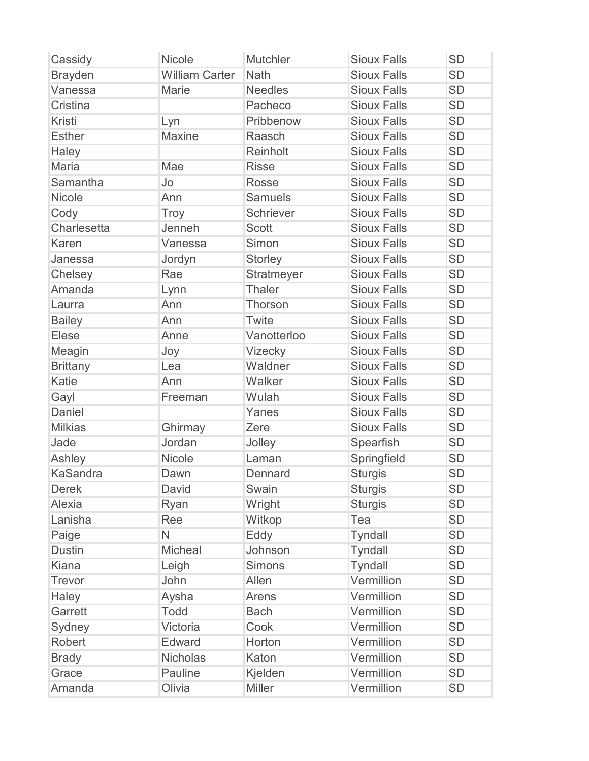| Cassidy         | <b>Nicole</b>         | <b>Mutchler</b> | <b>Sioux Falls</b> | <b>SD</b> |
|-----------------|-----------------------|-----------------|--------------------|-----------|
| <b>Brayden</b>  | <b>William Carter</b> | Nath            | <b>Sioux Falls</b> | <b>SD</b> |
| Vanessa         | Marie                 | <b>Needles</b>  | <b>Sioux Falls</b> | <b>SD</b> |
| Cristina        |                       | Pacheco         | <b>Sioux Falls</b> | <b>SD</b> |
| Kristi          | Lyn                   | Pribbenow       | <b>Sioux Falls</b> | <b>SD</b> |
| <b>Esther</b>   | <b>Maxine</b>         | Raasch          | <b>Sioux Falls</b> | <b>SD</b> |
| Haley           |                       | Reinholt        | <b>Sioux Falls</b> | <b>SD</b> |
| Maria           | Mae                   | <b>Risse</b>    | <b>Sioux Falls</b> | <b>SD</b> |
| Samantha        | Jo                    | <b>Rosse</b>    | <b>Sioux Falls</b> | <b>SD</b> |
| Nicole          | Ann                   | <b>Samuels</b>  | <b>Sioux Falls</b> | <b>SD</b> |
| Cody            | Troy                  | Schriever       | <b>Sioux Falls</b> | <b>SD</b> |
| Charlesetta     | Jenneh                | <b>Scott</b>    | <b>Sioux Falls</b> | <b>SD</b> |
| Karen           | Vanessa               | Simon           | <b>Sioux Falls</b> | <b>SD</b> |
| Janessa         | Jordyn                | <b>Storley</b>  | <b>Sioux Falls</b> | <b>SD</b> |
| Chelsey         | Rae                   | Stratmeyer      | <b>Sioux Falls</b> | <b>SD</b> |
| Amanda          | Lynn                  | Thaler          | <b>Sioux Falls</b> | <b>SD</b> |
| Laurra          | Ann                   | Thorson         | <b>Sioux Falls</b> | <b>SD</b> |
| <b>Bailey</b>   | Ann                   | Twite           | <b>Sioux Falls</b> | <b>SD</b> |
| Elese           | Anne                  | Vanotterloo     | <b>Sioux Falls</b> | <b>SD</b> |
| Meagin          | Joy                   | Vizecky         | <b>Sioux Falls</b> | <b>SD</b> |
| <b>Brittany</b> | Lea                   | Waldner         | <b>Sioux Falls</b> | <b>SD</b> |
| Katie           | Ann                   | Walker          | <b>Sioux Falls</b> | <b>SD</b> |
| Gayl            | Freeman               | Wulah           | <b>Sioux Falls</b> | <b>SD</b> |
| <b>Daniel</b>   |                       | Yanes           | <b>Sioux Falls</b> | <b>SD</b> |
| <b>Milkias</b>  | Ghirmay               | Zere            | <b>Sioux Falls</b> | <b>SD</b> |
| Jade            | Jordan                | Jolley          | Spearfish          | <b>SD</b> |
| Ashley          | Nicole                | Laman           | Springfield        | <b>SD</b> |
| <b>KaSandra</b> | Dawn                  | Dennard         | <b>Sturgis</b>     | <b>SD</b> |
| <b>Derek</b>    | David                 | Swain           | <b>Sturgis</b>     | <b>SD</b> |
| Alexia          | Ryan                  | Wright          | <b>Sturgis</b>     | <b>SD</b> |
| Lanisha         | Ree                   | Witkop          | Tea                | <b>SD</b> |
| Paige           | N                     | Eddy            | <b>Tyndall</b>     | <b>SD</b> |
| <b>Dustin</b>   | Micheal               | Johnson         | <b>Tyndall</b>     | <b>SD</b> |
| <b>Kiana</b>    | Leigh                 | <b>Simons</b>   | <b>Tyndall</b>     | <b>SD</b> |
| Trevor          | John                  | Allen           | Vermillion         | <b>SD</b> |
| Haley           | Aysha                 | Arens           | Vermillion         | <b>SD</b> |
| Garrett         | <b>Todd</b>           | <b>Bach</b>     | Vermillion         | <b>SD</b> |
| Sydney          | Victoria              | Cook            | Vermillion         | <b>SD</b> |
| Robert          | Edward                | Horton          | Vermillion         | <b>SD</b> |
| <b>Brady</b>    | <b>Nicholas</b>       | Katon           | Vermillion         | <b>SD</b> |
| Grace           | Pauline               | Kjelden         | Vermillion         | <b>SD</b> |
| Amanda          | Olivia                | <b>Miller</b>   | Vermillion         | <b>SD</b> |